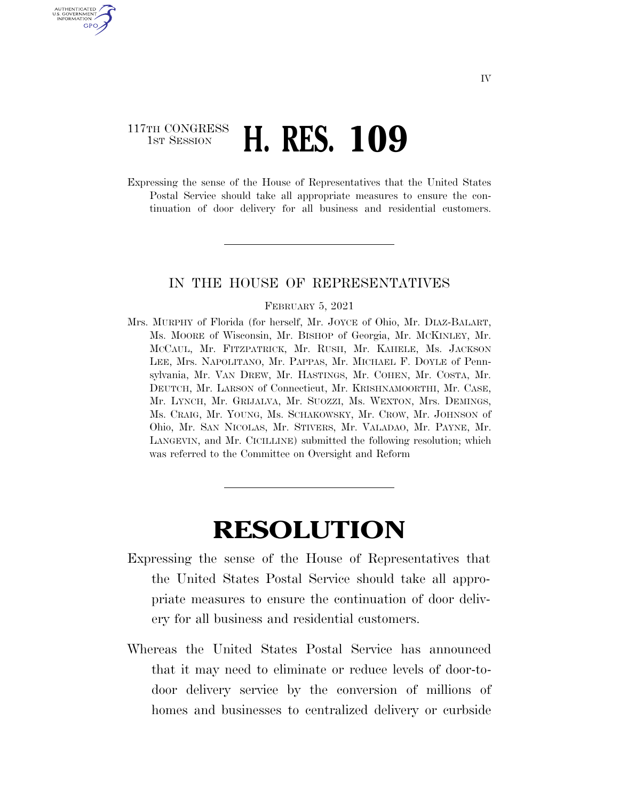### 117TH CONGRESS **1ST SESSION H. RES. 109**

U.S. GOVERNMENT<br>INFORMATION GPO

> Expressing the sense of the House of Representatives that the United States Postal Service should take all appropriate measures to ensure the continuation of door delivery for all business and residential customers.

#### IN THE HOUSE OF REPRESENTATIVES

#### FEBRUARY 5, 2021

Mrs. MURPHY of Florida (for herself, Mr. JOYCE of Ohio, Mr. DIAZ-BALART, Ms. MOORE of Wisconsin, Mr. BISHOP of Georgia, Mr. MCKINLEY, Mr. MCCAUL, Mr. FITZPATRICK, Mr. RUSH, Mr. KAHELE, Ms. JACKSON LEE, Mrs. NAPOLITANO, Mr. PAPPAS, Mr. MICHAEL F. DOYLE of Pennsylvania, Mr. VAN DREW, Mr. HASTINGS, Mr. COHEN, Mr. COSTA, Mr. DEUTCH, Mr. LARSON of Connecticut, Mr. KRISHNAMOORTHI, Mr. CASE, Mr. LYNCH, Mr. GRIJALVA, Mr. SUOZZI, Ms. WEXTON, Mrs. DEMINGS, Ms. CRAIG, Mr. YOUNG, Ms. SCHAKOWSKY, Mr. CROW, Mr. JOHNSON of Ohio, Mr. SAN NICOLAS, Mr. STIVERS, Mr. VALADAO, Mr. PAYNE, Mr. LANGEVIN, and Mr. CICILLINE) submitted the following resolution; which was referred to the Committee on Oversight and Reform

# **RESOLUTION**

- Expressing the sense of the House of Representatives that the United States Postal Service should take all appropriate measures to ensure the continuation of door delivery for all business and residential customers.
- Whereas the United States Postal Service has announced that it may need to eliminate or reduce levels of door-todoor delivery service by the conversion of millions of homes and businesses to centralized delivery or curbside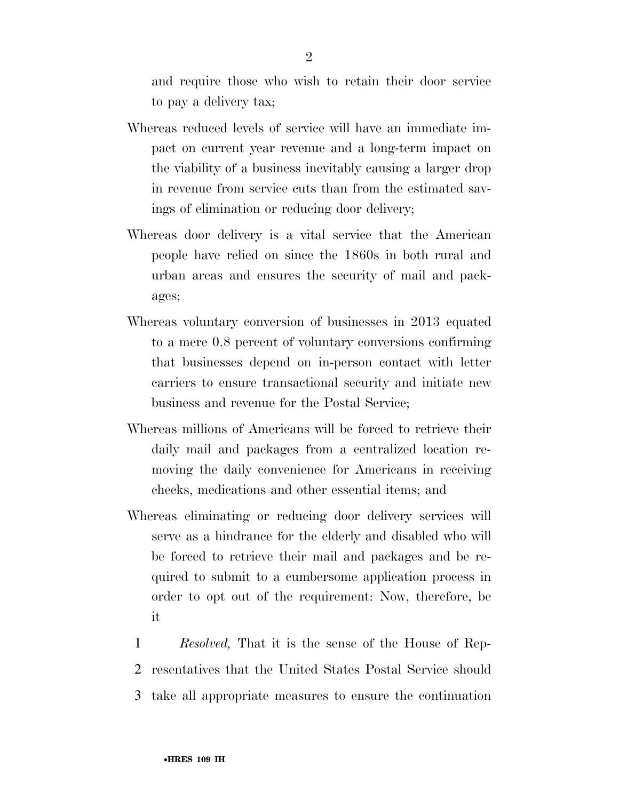and require those who wish to retain their door service to pay a delivery tax;

- Whereas reduced levels of service will have an immediate impact on current year revenue and a long-term impact on the viability of a business inevitably causing a larger drop in revenue from service cuts than from the estimated savings of elimination or reducing door delivery;
- Whereas door delivery is a vital service that the American people have relied on since the 1860s in both rural and urban areas and ensures the security of mail and packages;
- Whereas voluntary conversion of businesses in 2013 equated to a mere 0.8 percent of voluntary conversions confirming that businesses depend on in-person contact with letter carriers to ensure transactional security and initiate new business and revenue for the Postal Service;
- Whereas millions of Americans will be forced to retrieve their daily mail and packages from a centralized location removing the daily convenience for Americans in receiving checks, medications and other essential items; and
- Whereas eliminating or reducing door delivery services will serve as a hindrance for the elderly and disabled who will be forced to retrieve their mail and packages and be required to submit to a cumbersome application process in order to opt out of the requirement: Now, therefore, be it
	- 1 *Resolved,* That it is the sense of the House of Rep-2 resentatives that the United States Postal Service should 3 take all appropriate measures to ensure the continuation